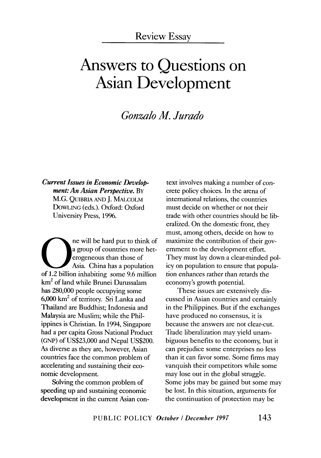# **Answers to Questions on Asian Development**

## *Gonzalo M. Jurado*

*Current Issues in Economic Development: An Asian Perspective.* BY M.G. QlliBRIA AND j. MALCOLM DOWLING (eds.). Oxford: Oxford University Press, 1996.

ne will be hard put to think of<br>
a group of countries more het-<br>
erogeneous than those of<br>
Asia. China has a population<br>
of 1.2 billion inhabiting some 9.6 million a group of countries more heterogeneous than those of Asia. China has a population km2 of land while Brunei Darussalam has 280,000 people occupying some 6,000 km2 of territory. Sri Lanka and Thailand are Buddhist; Indonesia and Malaysia are Muslim; while the Philippines is Christian. In 1994, Singapore had a per capita Gross National Product (GNP) of US\$23,000 and Nepal US\$200. As diverse as they are, however, Asian countries face the common problem of accelerating and sustaining their economic development.

Solving the common problem of speeding up and sustaining economic development in the current Asian con-

text involves making a number of concrete policy choices. In the arena of inrernational relations, the countries must decide on whether or not their trade with other countries should be liberalized. On the domestic front, they must, among others, decide on how to maximize the contribution of their government to the development effort. They must lay down a clear-minded policy on population to ensure that population enhances rather than retards the economy's growth potential.

These issues are extensively discussed in Asian countries and certainly in the Philippines. But if the exchanges have produced no consensus, it is because the answers are not clear-cut. Trade liberalization may yield unambiguous benefits to the economy, but it can prejudice some enterprises no less than it can favor some. Some firms may vanquish their competitors while some may lose out in the global struggle. Some jobs may be gained but some may be lost. In this situation, arguments for the continuation of protection may be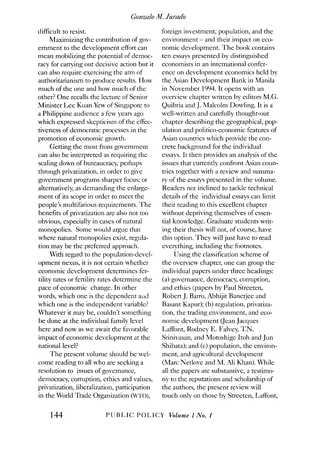difficult to resist.

Maximizing the contribution of government to the development effort can mean mobilizing the potential of democracy for carrying out decisive action but it can also require exercising the arm of authoritarianism to produce results. How much of the one and how much of the other? One recalls the lecture of Senior Minister Lee Kuan Yew of Singapore to a Philippine audience a few years ago which expressed skepticism of the effectiveness of democratic processes in the promotion of economic growth.

Getting the most from government can also be interpreted as requiring the scaling down of bureaucracy, perhaps through privatization, in order to give government programs sharper focus; or alternatively, as demanding the enlargement of its scope in order to meet the people's multifarious requirements. The benefits of privatization are also not too obvious, especially in cases of natural monopolies. Some would argue that where natural monopolies exist, regulation may be the preferred approach.

With regard to the population-development nexus, it is not certain whether economic development determines fertility rates or fertility rates determine the pace of economic change. In other words, which one is the dependent and which one is the independent variable? Whatever it may be, couldn't something be done at the individual family level here and now as we await the favorable impact of economic development at the national level?

The present volume should be welcome reading to all who are seeking a resolution to issues of governance, democracy, corruption, ethics and values, privatization, liberalization, participation in the World Trade Organization (WTO),

foreign investment, population, and the environment – and their impact on economic development. The book contains ten essays presented by distinguished economists in an international conference on development economics held by the Asian Development Bank in Manila in November 1994. It opens with an overview chapter written by editors M.G. Quibria and *].* Malcolm Dowling. It is a well-written and carefully thought-out chapter describing the geographical, population and politico-economic features of Asian countries which provide the concrete background for the individual essays. It then provides an analysis of the issues that currently confront Asian countries together with a review and summary of the essays presented in the volume. Readers not inclined to tackle technical details of the individual essays can limit their reading to this excellent chapter without depriving themselves of essential knowledge. Graduate students writing their thesis will not, of course, have this option. They will just have to read everything, including the footnotes.

Using the classification scheme of the overview chapter, one can group the individual papers under three headings: (a) governance, democracy, corruption, and ethics (papers by Paul Streeten, Robert]. Barro, Abhijit Banerjee and Basant Kapur); (b) regulation, privatization, the trading environment, and economic development (Jean Jacques Laffont, Rodney E. Falvey, T.N. Srinivasan, and Motoshige ltoh and Jun Shibata); and (c) population, the environment, and agricultural development (Marc Nerlove and M. Ali Khan). While all the papers are substantive, a testimony to the reputations and scholarship of the authors, the present review will touch only on those by Streeten, Laffont,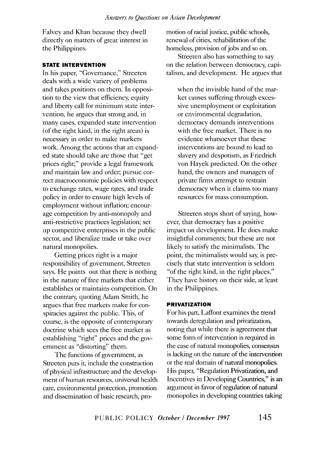Falvey and Khan because they dwell directly on matters of great interest in the Philippines.

#### **STATE INTERVENTION**

In his paper, "Governance," Streeten deals with a wide variety of problems and takes positions on them. In opposition to the view that efficiency, equity and liberty call for minimum state intervention, he argues that strong and, in many cases, expanded state intervention (of the right kind, in the right areas) is necessary in order to make markets work. Among the actions that an expanded state should take are those that "get prices right;" provide a legal framework and maintain law and order; pursue correct macroeconomic policies with respect to exchange rates, wage rates, and trade policy in order to ensure high levels of employment without inflation; encourage competition by anti-monopoly and anti-restrictive practices legislation; set up competitive enterprises in the public sector, and liberalize trade or take over natural monopolies.

Getting prices right is a major responsibility of government, Streeten says. He points out that there is nothing in the nature of free markets that either establishes or maintains competition. On the contrary, quoting Adam Smith, he argues that free markets make for conspiracies against the public. This, of course, is the opposite of contemporary doctrine which sees the free market as establishing "right" prices and the government as "distorting" them.

The functions of government, as Streeten puts it, include the construction of physical infrastructure and the development of human resources, universal health care, environmental protection, promotion and dissemination of basic research, promotion of racial justice, public schools, renewal of cities, rehabilitation of the homeless, provision of jobs and so on.

Streeten also has something to say on the relation between democracy, capitalism, and development. He argues that

when the invisible hand of the market causes suffering through excessive unemployment or exploitation or environmental degradation, democracy demands interventions with the free market. There is no evidence whatsoever that these interventions are bound to lead to slavery and despotism, as Friedrich von Hayek predicted. On the other hand, the owners and managers of private firms attempt to restrain democracy when it claims too many resources for mass consumption.

Streeten stops short of saying, however, that democracy has a positive impact on development. He does make insightful comments; but these are not likely to satisfy the minimalists. The point, the minimalists would say, is precisely that state intervention is seldom "of the right kind, in the right places." They have history on their side, at least in the Philippines.

#### **PRIVATIZATION**

For his part, Laffont examines the trend towards deregulation and privatization, noting that while there is agreement that some form of intervention is required in the case of natural monopolies, consensus is lacking on the nature of the intervention or the real domain of natural monopolies. His paper, "Regulation Privatization, and Incentives in Developing Countries," is an argument in favor of regulation of natural monopolies in developing countries taking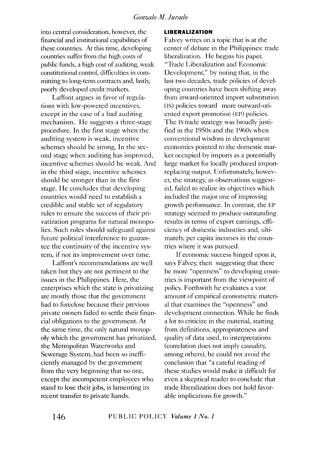#### *Gonza/o M. Jurado*

into central consideration, however, the financial and institutional capabilities of these countries. At this time, developing countries suffer from the high costs of public funds, a high cost of auditing, weak constitutional control, difficulties in committing to long-term contracts and, lastly, poorly developed credit markets.

Laffont argues in favor of regulations with low-powered incentives, except in the case of a bad auditing mechanism. He suggests a three-stage procedure. In the first stage when the auditing system is weak, incentive schemes should be strong. In the second stage when auditing has improved, incentive schemes should be weak. And in the third stage, incentive schemes should be stronger than in the first stage. He concludes that developing countries would need to establish a credible and stable set of regulatory rules to ensure the success of their privatization programs for natural monopolies. Such rules should safeguard against future political interference to guarantee the continuity of the incentive system, if not its improvement over time.

Laffont's recommendations are well taken but they are not pertinent to the issues in the Philippines. Here, the enterprises which the state is privatizing are mostly those that the government had to foreclose because their previous private owners failed to settle their financial obligations to the government. At the same time, the only natural monopoly which the government has privatized, the Metropolitan Waterworks and Sewerage System, had been so inefficiently managed by the government from the very beginning that no one, except the incompetent employees who stand to lose their jobs, is lamenting its recent transfer to private hands.

#### **LIBERALIZATION**

Falvey writes on a topic that is at the center of debate in the Philippines: trade liberalization. He begins his paper, 'Trade Liberalization and Economic Development," by noting that, in the last two decades, trade policies of developing countries have been shifting away from inward-oriented import substitution (IS) policies toward more outward-oriented export promotion (EP) policies. The IS trade strategy was broadly justified in the 1950s and the 1960s when conventional wisdom in development economics pointed to the domestic market occupied by imports as a potentially large market for locally produced importreplacing output. Unfortunately, however, the strategy, as observations suggested, failed to realize its objectives which included the major one of improving growth performance. In contrast, the EP strategy seemed to produce outstanding results in terms of export earnings, efficiency of domestic industries and, ultimately, per capita incomes in the countries where it was pursued.

If economic success hinged upon it, says Falvey, then suggesting that there be more "openness" to developing countries is important from the viewpoint of policy. Forthwith he evaluates a vast amount of empirical econometric material that examines the "openness" and development connection. While he finds a lot to criticize in the material, starting from definitions, appropriateness and quality of data used, to interpretations (correlation does not imply causaliry, among others), he could not avoid the conclusion that "a careful reading of these studies would make it difficult for even a skeptical reader to conclude that trade liberalization does not hold favorable implications for growth."

**146** PUBLIC POLICY *Volume 1 No.1*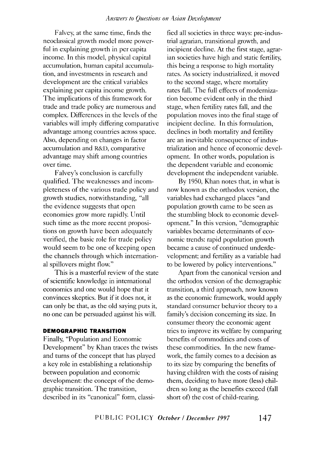Falvey, at the same time, finds the neoclassical growth model more powerful in explaining growth in per capita income. In this model, physical capital accumulation, human capital accumulation, and investments in research and development are the critical variables explaining per capita income growth. The implications of this framework for trade and trade policy are numerous and complex. Differences in the levels of the variables will imply differing comparative advantage among countries across space. Also, depending on changes in factor accumulation and R&D, comparative advantage may shift among countries over time.

Falvey's conclusion is carefully qualified. The weaknesses and incompleteness of the various trade policy and growth studies, notwithstanding, "all the evidence suggests that open economies grow more rapidly. Until such time as the more recent propositions on growth have been adequately verified, the basic role for trade policy would seem to be one of keeping open the channels through which international spillovers might flow."

This is a masterful review of the state of scientific knowledge in international economics and one would hope that it convinces skeptics. But if it does not, it can only be that, as the old saying puts it, no one can be persuaded against his will.

#### **DEMOGRAPHIC TRANSITION**

Finally, "Population and Economic Development" by Khan traces the twists and turns of the concept that has played a key role in establishing a relationship between population and economic development: the concept of the demographic transition. The transition, described in its "canonical" form, classified all societies in three ways: pre-industrial agrarian, transitional growth, and incipient decline. At the first stage, agrarian societies have high and static fertility, this being a response to high mortality rates. As society industrialized, it moved to the second stage, where mortality rates fall. The full effects of modernization become evident only in the third stage, when fertility rates fall, and the population moves into the final stage of incipient decline. In this formulation, declines in both mortality and fertility are an inevitable consequence of industrialization and hence of economic development. In other words, population is the dependent variable and economic development the independent variable.

By 1950, Khan notes that, in what is now known as the orthodox version, the variables had exchanged places "and population growth came to be seen as the stumbling block to economic development." In this version, "demographic variables became determinants of economic trends: rapid population growth became a cause of continued underdevelopment; and fertility as a variable had to be lowered by policy interventions."

Apart from the canonical version and the orthodox version of the demographic transition, a third approach, now known as the economic framework, would apply standard consumer behavior theory to a family's decision concerning its size. In consumer theory the economic agent tries to improve its welfare by comparing benefits of commodities and costs of these commodities. In the new framework, the family comes to a decision as to its size by comparing the benefits of having children with the costs of raising them, deciding to have more (less) children so long as the benefits exceed (fall short of) the cost of child-rearing.